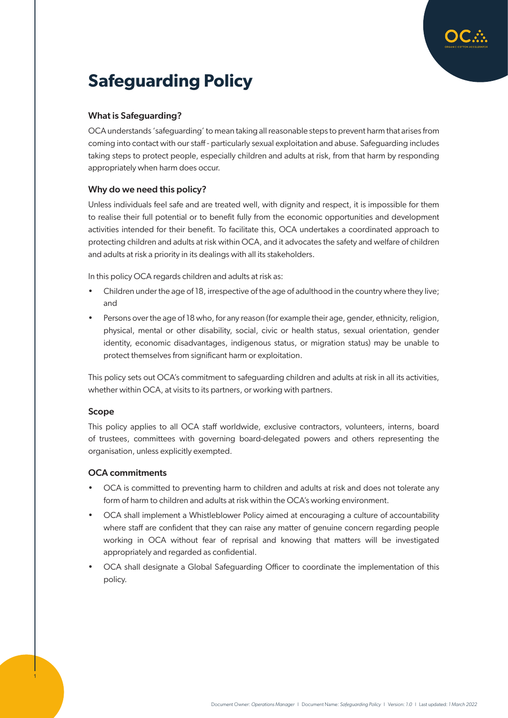

# **Safeguarding Policy**

## What is Safeguarding?

OCA understands 'safeguarding' to mean taking all reasonable steps to prevent harm that arises from coming into contact with our staff - particularly sexual exploitation and abuse. Safeguarding includes taking steps to protect people, especially children and adults at risk, from that harm by responding appropriately when harm does occur.

## Why do we need this policy?

Unless individuals feel safe and are treated well, with dignity and respect, it is impossible for them to realise their full potential or to benefit fully from the economic opportunities and development activities intended for their benefit. To facilitate this, OCA undertakes a coordinated approach to protecting children and adults at risk within OCA, and it advocates the safety and welfare of children and adults at risk a priority in its dealings with all its stakeholders.

In this policy OCA regards children and adults at risk as:

- Children under the age of 18, irrespective of the age of adulthood in the country where they live; and
- Persons over the age of 18 who, for any reason (for example their age, gender, ethnicity, religion, physical, mental or other disability, social, civic or health status, sexual orientation, gender identity, economic disadvantages, indigenous status, or migration status) may be unable to protect themselves from significant harm or exploitation.

This policy sets out OCA's commitment to safeguarding children and adults at risk in all its activities, whether within OCA, at visits to its partners, or working with partners.

### Scope

1

This policy applies to all OCA staff worldwide, exclusive contractors, volunteers, interns, board of trustees, committees with governing board-delegated powers and others representing the organisation, unless explicitly exempted.

### OCA commitments

- OCA is committed to preventing harm to children and adults at risk and does not tolerate any form of harm to children and adults at risk within the OCA's working environment.
- OCA shall implement a Whistleblower Policy aimed at encouraging a culture of accountability where staff are confident that they can raise any matter of genuine concern regarding people working in OCA without fear of reprisal and knowing that matters will be investigated appropriately and regarded as confidential.
- OCA shall designate a Global Safeguarding Officer to coordinate the implementation of this policy.